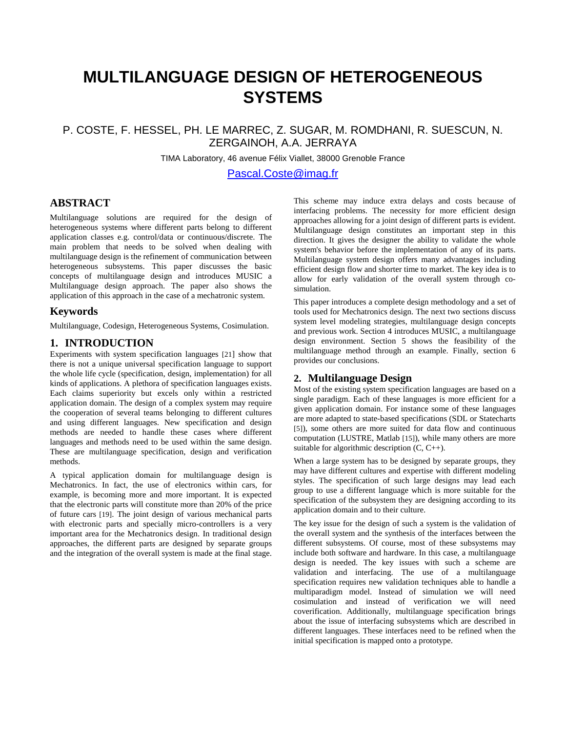# **MULTILANGUAGE DESIGN OF HETEROGENEOUS SYSTEMS**

# P. COSTE, F. HESSEL, PH. LE MARREC, Z. SUGAR, M. ROMDHANI, R. SUESCUN, N. ZERGAINOH, A.A. JERRAYA

TIMA Laboratory, 46 avenue Félix Viallet, 38000 Grenoble France

Pascal.Coste@imag.fr

# **ABSTRACT**

Multilanguage solutions are required for the design of heterogeneous systems where different parts belong to different application classes e.g. control/data or continuous/discrete. The main problem that needs to be solved when dealing with multilanguage design is the refinement of communication between heterogeneous subsystems. This paper discusses the basic concepts of multilanguage design and introduces MUSIC a Multilanguage design approach. The paper also shows the application of this approach in the case of a mechatronic system.

# **Keywords**

Multilanguage, Codesign, Heterogeneous Systems, Cosimulation.

# **1. INTRODUCTION**

Experiments with system specification languages [21] show that there is not a unique universal specification language to support the whole life cycle (specification, design, implementation) for all kinds of applications. A plethora of specification languages exists. Each claims superiority but excels only within a restricted application domain. The design of a complex system may require the cooperation of several teams belonging to different cultures and using different languages. New specification and design methods are needed to handle these cases where different languages and methods need to be used within the same design. These are multilanguage specification, design and verification methods.

A typical application domain for multilanguage design is Mechatronics. In fact, the use of electronics within cars, for example, is becoming more and more important. It is expected that the electronic parts will constitute more than 20% of the price of future cars [19]. The joint design of various mechanical parts with electronic parts and specially micro-controllers is a very important area for the Mechatronics design. In traditional design approaches, the different parts are designed by separate groups and the integration of the overall system is made at the final stage.

This scheme may induce extra delays and costs because of interfacing problems. The necessity for more efficient design approaches allowing for a joint design of different parts is evident. Multilanguage design constitutes an important step in this direction. It gives the designer the ability to validate the whole system's behavior before the implementation of any of its parts. Multilanguage system design offers many advantages including efficient design flow and shorter time to market. The key idea is to allow for early validation of the overall system through cosimulation.

This paper introduces a complete design methodology and a set of tools used for Mechatronics design. The next two sections discuss system level modeling strategies, multilanguage design concepts and previous work. Section 4 introduces MUSIC, a multilanguage design environment. Section 5 shows the feasibility of the multilanguage method through an example. Finally, section 6 provides our conclusions.

## **2. Multilanguage Design**

Most of the existing system specification languages are based on a single paradigm. Each of these languages is more efficient for a given application domain. For instance some of these languages are more adapted to state-based specifications (SDL or Statecharts [5]), some others are more suited for data flow and continuous computation (LUSTRE, Matlab [15]), while many others are more suitable for algorithmic description (C, C++).

When a large system has to be designed by separate groups, they may have different cultures and expertise with different modeling styles. The specification of such large designs may lead each group to use a different language which is more suitable for the specification of the subsystem they are designing according to its application domain and to their culture.

The key issue for the design of such a system is the validation of the overall system and the synthesis of the interfaces between the different subsystems. Of course, most of these subsystems may include both software and hardware. In this case, a multilanguage design is needed. The key issues with such a scheme are validation and interfacing. The use of a multilanguage specification requires new validation techniques able to handle a multiparadigm model. Instead of simulation we will need cosimulation and instead of verification we will need coverification. Additionally, multilanguage specification brings about the issue of interfacing subsystems which are described in different languages. These interfaces need to be refined when the initial specification is mapped onto a prototype.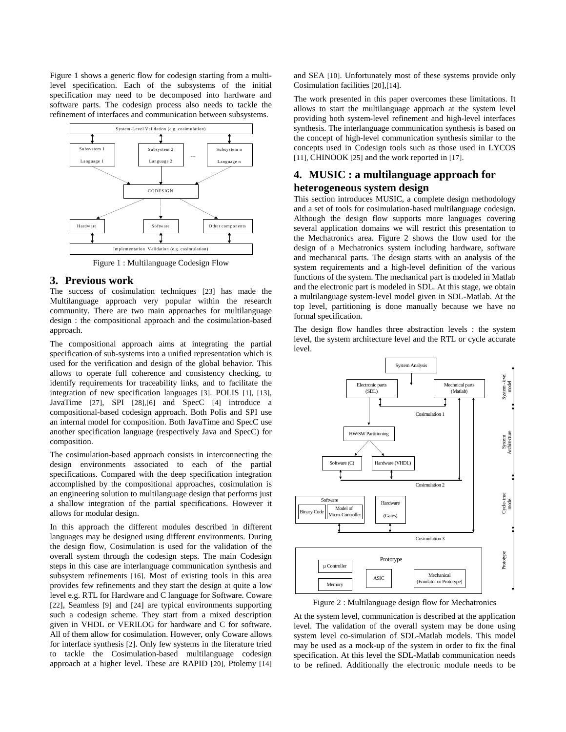Figure 1 shows a generic flow for codesign starting from a multilevel specification. Each of the subsystems of the initial specification may need to be decomposed into hardware and software parts. The codesign process also needs to tackle the refinement of interfaces and communication between subsystems.



Figure 1 : Multilanguage Codesign Flow

## **3. Previous work**

The success of cosimulation techniques [23] has made the Multilanguage approach very popular within the research community. There are two main approaches for multilanguage design : the compositional approach and the cosimulation-based approach.

The compositional approach aims at integrating the partial specification of sub-systems into a unified representation which is used for the verification and design of the global behavior. This allows to operate full coherence and consistency checking, to identify requirements for traceability links, and to facilitate the integration of new specification languages [3]. POLIS [1], [13], JavaTime [27], SPI [28],[6] and SpecC [4] introduce a compositional-based codesign approach. Both Polis and SPI use an internal model for composition. Both JavaTime and SpecC use another specification language (respectively Java and SpecC) for composition.

The cosimulation-based approach consists in interconnecting the design environments associated to each of the partial specifications. Compared with the deep specification integration accomplished by the compositional approaches, cosimulation is an engineering solution to multilanguage design that performs just a shallow integration of the partial specifications. However it allows for modular design.

In this approach the different modules described in different languages may be designed using different environments. During the design flow, Cosimulation is used for the validation of the overall system through the codesign steps. The main Codesign steps in this case are interlanguage communication synthesis and subsystem refinements [16]. Most of existing tools in this area provides few refinements and they start the design at quite a low level e.g. RTL for Hardware and C language for Software. Coware [22], Seamless [9] and [24] are typical environments supporting such a codesign scheme. They start from a mixed description given in VHDL or VERILOG for hardware and C for software. All of them allow for cosimulation. However, only Coware allows for interface synthesis [2]. Only few systems in the literature tried to tackle the Cosimulation-based multilanguage codesign approach at a higher level. These are RAPID [20], Ptolemy [14]

and SEA [10]. Unfortunately most of these systems provide only Cosimulation facilities [20],[14].

The work presented in this paper overcomes these limitations. It allows to start the multilanguage approach at the system level providing both system-level refinement and high-level interfaces synthesis. The interlanguage communication synthesis is based on the concept of high-level communication synthesis similar to the concepts used in Codesign tools such as those used in LYCOS [11], CHINOOK [25] and the work reported in [17].

# **4. MUSIC : a multilanguage approach for heterogeneous system design**

This section introduces MUSIC, a complete design methodology and a set of tools for cosimulation-based multilanguage codesign. Although the design flow supports more languages covering several application domains we will restrict this presentation to the Mechatronics area. Figure 2 shows the flow used for the design of a Mechatronics system including hardware, software and mechanical parts. The design starts with an analysis of the system requirements and a high-level definition of the various functions of the system. The mechanical part is modeled in Matlab and the electronic part is modeled in SDL. At this stage, we obtain a multilanguage system-level model given in SDL-Matlab. At the top level, partitioning is done manually because we have no formal specification.

The design flow handles three abstraction levels : the system level, the system architecture level and the RTL or cycle accurate level.



Figure 2 : Multilanguage design flow for Mechatronics

At the system level, communication is described at the application level. The validation of the overall system may be done using system level co-simulation of SDL-Matlab models. This model may be used as a mock-up of the system in order to fix the final specification. At this level the SDL-Matlab communication needs to be refined. Additionally the electronic module needs to be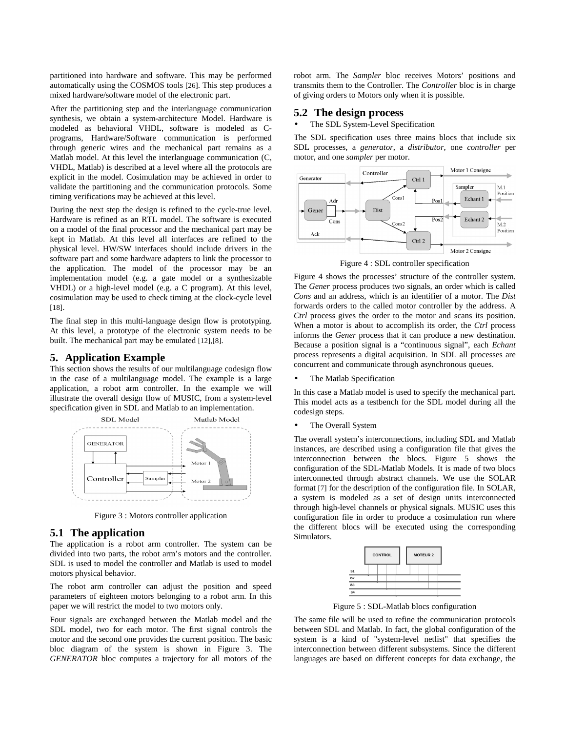partitioned into hardware and software. This may be performed automatically using the COSMOS tools [26]. This step produces a mixed hardware/software model of the electronic part.

After the partitioning step and the interlanguage communication synthesis, we obtain a system-architecture Model. Hardware is modeled as behavioral VHDL, software is modeled as Cprograms, Hardware/Software communication is performed through generic wires and the mechanical part remains as a Matlab model. At this level the interlanguage communication (C, VHDL, Matlab) is described at a level where all the protocols are explicit in the model. Cosimulation may be achieved in order to validate the partitioning and the communication protocols. Some timing verifications may be achieved at this level.

During the next step the design is refined to the cycle-true level. Hardware is refined as an RTL model. The software is executed on a model of the final processor and the mechanical part may be kept in Matlab. At this level all interfaces are refined to the physical level. HW/SW interfaces should include drivers in the software part and some hardware adapters to link the processor to the application. The model of the processor may be an implementation model (e.g. a gate model or a synthesizable VHDL) or a high-level model (e.g. a C program). At this level, cosimulation may be used to check timing at the clock-cycle level [18].

The final step in this multi-language design flow is prototyping. At this level, a prototype of the electronic system needs to be built. The mechanical part may be emulated [12],[8].

## **5. Application Example**

This section shows the results of our multilanguage codesign flow in the case of a multilanguage model. The example is a large application, a robot arm controller. In the example we will illustrate the overall design flow of MUSIC, from a system-level specification given in SDL and Matlab to an implementation.



Figure 3 : Motors controller application

### **5.1 The application**

The application is a robot arm controller. The system can be divided into two parts, the robot arm's motors and the controller. SDL is used to model the controller and Matlab is used to model motors physical behavior.

The robot arm controller can adjust the position and speed parameters of eighteen motors belonging to a robot arm. In this paper we will restrict the model to two motors only.

Four signals are exchanged between the Matlab model and the SDL model, two for each motor. The first signal controls the motor and the second one provides the current position. The basic bloc diagram of the system is shown in Figure 3. The *GENERATOR* bloc computes a trajectory for all motors of the

robot arm. The *Sampler* bloc receives Motors' positions and transmits them to the Controller. The *Controller* bloc is in charge of giving orders to Motors only when it is possible.

# **5.2 The design process**

The SDL System-Level Specification

The SDL specification uses three mains blocs that include six SDL processes, a *generator*, a *distributor*, one *controller* per motor, and one *sampler* per motor.



Figure 4 : SDL controller specification

Figure 4 shows the processes' structure of the controller system. The *Gener* process produces two signals, an order which is called *Cons* and an address, which is an identifier of a motor. The *Dist* forwards orders to the called motor controller by the address. A *Ctrl* process gives the order to the motor and scans its position. When a motor is about to accomplish its order, the *Ctrl* process informs the *Gener* process that it can produce a new destination. Because a position signal is a "continuous signal", each *Echant* process represents a digital acquisition. In SDL all processes are concurrent and communicate through asynchronous queues.

• The Matlab Specification

In this case a Matlab model is used to specify the mechanical part. This model acts as a testbench for the SDL model during all the codesign steps.

• The Overall System

The overall system's interconnections, including SDL and Matlab instances, are described using a configuration file that gives the interconnection between the blocs. Figure 5 shows the configuration of the SDL-Matlab Models. It is made of two blocs interconnected through abstract channels. We use the SOLAR format [7] for the description of the configuration file. In SOLAR, a system is modeled as a set of design units interconnected through high-level channels or physical signals. MUSIC uses this configuration file in order to produce a cosimulation run where the different blocs will be executed using the corresponding Simulators.



Figure 5 : SDL-Matlab blocs configuration

The same file will be used to refine the communication protocols between SDL and Matlab. In fact, the global configuration of the system is a kind of "system-level netlist" that specifies the interconnection between different subsystems. Since the different languages are based on different concepts for data exchange, the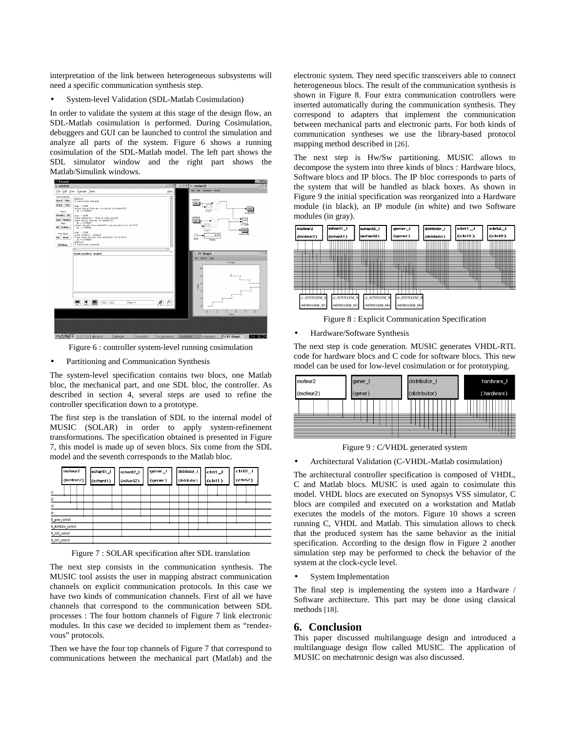interpretation of the link between heterogeneous subsystems will need a specific communication synthesis step.

• System-level Validation (SDL-Matlab Cosimulation)

In order to validate the system at this stage of the design flow, an SDL-Matlab cosimulation is performed. During Cosimulation, debuggers and GUI can be launched to control the simulation and analyze all parts of the system. Figure 6 shows a running cosimulation of the SDL-Matlab model. The left part shows the SDL simulator window and the right part shows the Matlab/Simulink windows.



Figure 6 : controller system-level running cosimulation

Partitioning and Communication Synthesis

The system-level specification contains two blocs, one Matlab bloc, the mechanical part, and one SDL bloc, the controller. As described in section 4, several steps are used to refine the controller specification down to a prototype.

The first step is the translation of SDL to the internal model of MUSIC (SOLAR) in order to apply system-refinement transformations. The specification obtained is presented in Figure 7, this model is made up of seven blocs. Six come from the SDL model and the seventh corresponds to the Matlab bloc.

|                        | moteur2<br>(moteur2) |  |  | echant1_I<br>(echant1) |  | echant2_I<br>(echant2) |  | gener_I<br>(gener) |  | distributor_I<br>(distributor) |  |  | ctr11<br>Cetri13 |  |  | ctri2_I<br>(ctr12) |  |  |
|------------------------|----------------------|--|--|------------------------|--|------------------------|--|--------------------|--|--------------------------------|--|--|------------------|--|--|--------------------|--|--|
| 31                     |                      |  |  |                        |  |                        |  |                    |  |                                |  |  |                  |  |  |                    |  |  |
| 32                     |                      |  |  |                        |  |                        |  |                    |  |                                |  |  |                  |  |  |                    |  |  |
| 3 <sup>3</sup>         |                      |  |  |                        |  |                        |  |                    |  |                                |  |  |                  |  |  |                    |  |  |
| 34                     |                      |  |  |                        |  |                        |  |                    |  |                                |  |  |                  |  |  |                    |  |  |
| N_gener_control1       |                      |  |  |                        |  |                        |  |                    |  |                                |  |  |                  |  |  |                    |  |  |
| N_distributor_control1 |                      |  |  |                        |  |                        |  |                    |  |                                |  |  |                  |  |  |                    |  |  |
| N_ctrl2_control1       |                      |  |  |                        |  |                        |  |                    |  |                                |  |  |                  |  |  |                    |  |  |
| N_ctrl1_control1       |                      |  |  |                        |  |                        |  |                    |  |                                |  |  |                  |  |  |                    |  |  |

Figure 7 : SOLAR specification after SDL translation

The next step consists in the communication synthesis. The MUSIC tool assists the user in mapping abstract communication channels on explicit communication protocols. In this case we have two kinds of communication channels. First of all we have channels that correspond to the communication between SDL processes : The four bottom channels of Figure 7 link electronic modules. In this case we decided to implement them as "rendezvous" protocols.

Then we have the four top channels of Figure 7 that correspond to communications between the mechanical part (Matlab) and the

electronic system. They need specific transceivers able to connect heterogeneous blocs. The result of the communication synthesis is shown in Figure 8. Four extra communication controllers were inserted automatically during the communication synthesis. They correspond to adapters that implement the communication between mechanical parts and electronic parts. For both kinds of communication syntheses we use the library-based protocol mapping method described in [26].

The next step is Hw/Sw partitioning. MUSIC allows to decompose the system into three kinds of blocs : Hardware blocs, Software blocs and IP blocs. The IP bloc corresponds to parts of the system that will be handled as black boxes. As shown in Figure 9 the initial specification was reorganized into a Hardware module (in black), an IP module (in white) and two Software modules (in gray).



Figure 8 : Explicit Communication Specification

• Hardware/Software Synthesis

The next step is code generation. MUSIC generates VHDL-RTL code for hardware blocs and C code for software blocs. This new model can be used for low-level cosimulation or for prototyping.

| moteur2<br>(moteur2) | gener_I<br>(gener) | distributor_I<br>(distributor) | hardware_I<br>(hardware) |  |  |  |
|----------------------|--------------------|--------------------------------|--------------------------|--|--|--|
|                      |                    |                                |                          |  |  |  |
|                      |                    |                                |                          |  |  |  |

Figure 9 : C/VHDL generated system

• Architectural Validation (C-VHDL-Matlab cosimulation)

The architectural controller specification is composed of VHDL, C and Matlab blocs. MUSIC is used again to cosimulate this model. VHDL blocs are executed on Synopsys VSS simulator, C blocs are compiled and executed on a workstation and Matlab executes the models of the motors. Figure 10 shows a screen running C, VHDL and Matlab. This simulation allows to check that the produced system has the same behavior as the initial specification. According to the design flow in Figure 2 another simulation step may be performed to check the behavior of the system at the clock-cycle level.

System Implementation

The final step is implementing the system into a Hardware / Software architecture. This part may be done using classical methods [18].

#### **6. Conclusion**

This paper discussed multilanguage design and introduced a multilanguage design flow called MUSIC. The application of MUSIC on mechatronic design was also discussed.